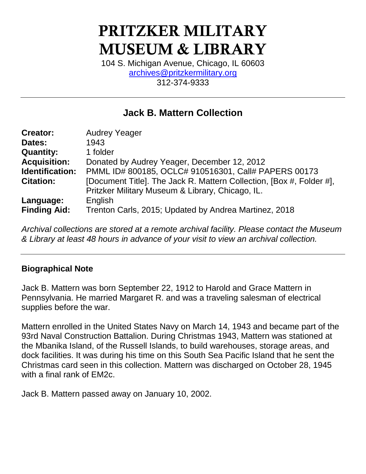# PRITZKER MILITARY MUSEUM & LIBRARY

104 S. Michigan Avenue, Chicago, IL 60603 [archives@pritzkermilitary.org](mailto:archives@pritzkermilitary.org) 312-374-9333

# **Jack B. Mattern Collection**

| <b>Creator:</b>     | <b>Audrey Yeager</b>                                                 |  |  |
|---------------------|----------------------------------------------------------------------|--|--|
| Dates:              | 1943                                                                 |  |  |
| <b>Quantity:</b>    | 1 folder                                                             |  |  |
| <b>Acquisition:</b> | Donated by Audrey Yeager, December 12, 2012                          |  |  |
| Identification:     | PMML ID# 800185, OCLC# 910516301, Call# PAPERS 00173                 |  |  |
| <b>Citation:</b>    | [Document Title]. The Jack R. Mattern Collection, [Box #, Folder #], |  |  |
|                     | Pritzker Military Museum & Library, Chicago, IL.                     |  |  |
| Language:           | English                                                              |  |  |
| <b>Finding Aid:</b> | Trenton Carls, 2015; Updated by Andrea Martinez, 2018                |  |  |

*Archival collections are stored at a remote archival facility. Please contact the Museum & Library at least 48 hours in advance of your visit to view an archival collection.*

## **Biographical Note**

Jack B. Mattern was born September 22, 1912 to Harold and Grace Mattern in Pennsylvania. He married Margaret R. and was a traveling salesman of electrical supplies before the war.

Mattern enrolled in the United States Navy on March 14, 1943 and became part of the 93rd Naval Construction Battalion. During Christmas 1943, Mattern was stationed at the Mbanika Island, of the Russell Islands, to build warehouses, storage areas, and dock facilities. It was during his time on this South Sea Pacific Island that he sent the Christmas card seen in this collection. Mattern was discharged on October 28, 1945 with a final rank of EM2c.

Jack B. Mattern passed away on January 10, 2002.